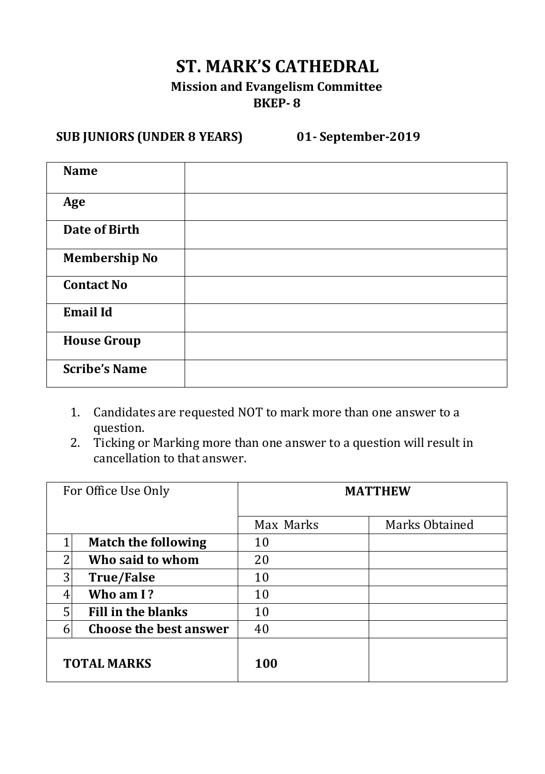## **ST. MARK'S CATHEDRAL**

#### **Mission and Evangelism Committee BKEP- 8**

## **SUB JUNIORS (UNDER 8 YEARS) 01- September-2019**

| <b>Name</b>          |  |
|----------------------|--|
| Age                  |  |
| Date of Birth        |  |
| <b>Membership No</b> |  |
| <b>Contact No</b>    |  |
| <b>Email Id</b>      |  |
| <b>House Group</b>   |  |
| <b>Scribe's Name</b> |  |

- 1. Candidates are requested NOT to mark more than one answer to a question.
- 2. Ticking or Marking more than one answer to a question will result in cancellation to that answer.

| For Office Use Only |                               | <b>MATTHEW</b> |                |  |
|---------------------|-------------------------------|----------------|----------------|--|
|                     |                               | Max Marks      | Marks Obtained |  |
|                     | <b>Match the following</b>    | 10             |                |  |
| 2                   | Who said to whom              | 20             |                |  |
| 3                   | <b>True/False</b>             | 10             |                |  |
| 4                   | Who am I?                     | 10             |                |  |
| 5                   | <b>Fill in the blanks</b>     | 10             |                |  |
| 6                   | <b>Choose the best answer</b> | 40             |                |  |
| <b>TOTAL MARKS</b>  |                               | 100            |                |  |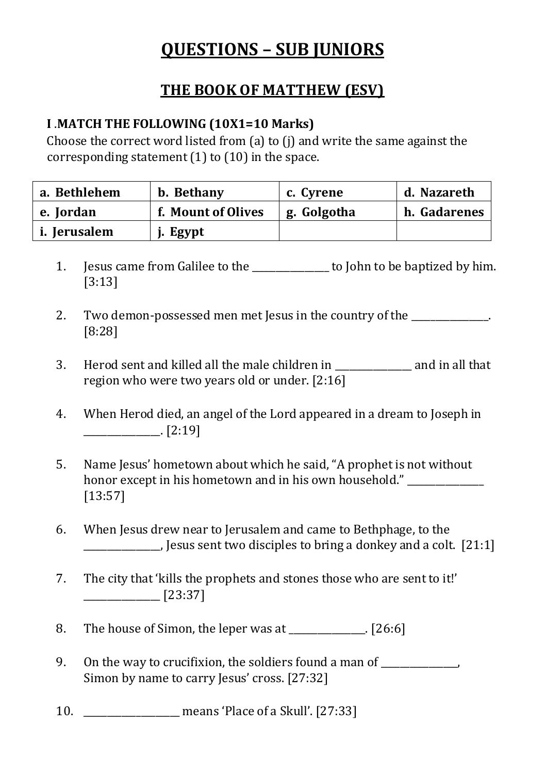# **QUESTIONS – SUB JUNIORS**

## **THE BOOK OF MATTHEW (ESV)**

## **I** .**MATCH THE FOLLOWING (10X1=10 Marks)**

Choose the correct word listed from (a) to (j) and write the same against the corresponding statement (1) to (10) in the space.

| a. Bethlehem | b. Bethany         | c. Cyrene   | d. Nazareth  |
|--------------|--------------------|-------------|--------------|
| e. Iordan    | f. Mount of Olives | g. Golgotha | h. Gadarenes |
| i. Ierusalem | j. Egypt           |             |              |

- 1. Jesus came from Galilee to the \_\_\_\_\_\_\_\_\_\_\_\_\_\_\_\_ to John to be baptized by him. [3:13]
- 2. Two demon-possessed men met Jesus in the country of the  $\Box$ [8:28]
- 3. Herod sent and killed all the male children in \_\_\_\_\_\_\_\_\_\_\_\_\_\_\_\_ and in all that region who were two years old or under. [2:16]
- 4. When Herod died, an angel of the Lord appeared in a dream to Joseph in  $[2:19]$
- 5. Name Jesus' hometown about which he said, "A prophet is not without honor except in his hometown and in his own household." \_\_\_\_\_\_\_\_\_\_\_\_\_\_\_\_\_\_\_\_\_\_\_\_ [13:57]
- 6. When Jesus drew near to Jerusalem and came to Bethphage, to the \_\_\_\_\_\_\_\_\_\_\_\_\_\_\_\_, Jesus sent two disciples to bring a donkey and a colt. [21:1]
- 7. The city that 'kills the prophets and stones those who are sent to it!'  $\frac{1}{2}$  [23:37]
- 8. The house of Simon, the leper was at \_\_\_\_\_\_\_\_\_\_\_\_\_. [26:6]
- 9. On the way to crucifixion, the soldiers found a man of Simon by name to carry Jesus' cross. [27:32]
- 10. \_\_\_\_\_\_\_\_\_\_\_\_\_\_\_\_\_\_\_\_ means 'Place of a Skull'. [27:33]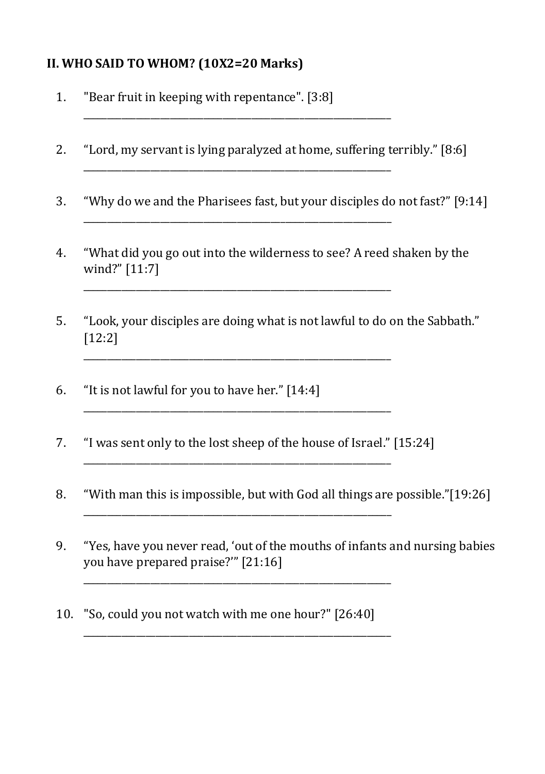## **II. WHO SAID TO WHOM? (10X2=20 Marks)**

1. "Bear fruit in keeping with repentance". [3:8]

 $\mathcal{L}_\text{max} = \mathcal{L}_\text{max} = \mathcal{L}_\text{max} = \mathcal{L}_\text{max} = \mathcal{L}_\text{max} = \mathcal{L}_\text{max} = \mathcal{L}_\text{max} = \mathcal{L}_\text{max} = \mathcal{L}_\text{max} = \mathcal{L}_\text{max} = \mathcal{L}_\text{max} = \mathcal{L}_\text{max} = \mathcal{L}_\text{max} = \mathcal{L}_\text{max} = \mathcal{L}_\text{max} = \mathcal{L}_\text{max} = \mathcal{L}_\text{max} = \mathcal{L}_\text{max} = \mathcal{$ 

2. "Lord, my servant is lying paralyzed at home, suffering terribly." [8:6]

\_\_\_\_\_\_\_\_\_\_\_\_\_\_\_\_\_\_\_\_\_\_\_\_\_\_\_\_\_\_\_\_\_\_\_\_\_\_\_\_\_\_\_\_\_\_\_\_\_\_\_\_\_\_\_\_\_\_\_\_\_\_\_\_

\_\_\_\_\_\_\_\_\_\_\_\_\_\_\_\_\_\_\_\_\_\_\_\_\_\_\_\_\_\_\_\_\_\_\_\_\_\_\_\_\_\_\_\_\_\_\_\_\_\_\_\_\_\_\_\_\_\_\_\_\_\_\_\_

\_\_\_\_\_\_\_\_\_\_\_\_\_\_\_\_\_\_\_\_\_\_\_\_\_\_\_\_\_\_\_\_\_\_\_\_\_\_\_\_\_\_\_\_\_\_\_\_\_\_\_\_\_\_\_\_\_\_\_\_\_\_\_\_

\_\_\_\_\_\_\_\_\_\_\_\_\_\_\_\_\_\_\_\_\_\_\_\_\_\_\_\_\_\_\_\_\_\_\_\_\_\_\_\_\_\_\_\_\_\_\_\_\_\_\_\_\_\_\_\_\_\_\_\_\_\_\_\_

\_\_\_\_\_\_\_\_\_\_\_\_\_\_\_\_\_\_\_\_\_\_\_\_\_\_\_\_\_\_\_\_\_\_\_\_\_\_\_\_\_\_\_\_\_\_\_\_\_\_\_\_\_\_\_\_\_\_\_\_\_\_\_\_

\_\_\_\_\_\_\_\_\_\_\_\_\_\_\_\_\_\_\_\_\_\_\_\_\_\_\_\_\_\_\_\_\_\_\_\_\_\_\_\_\_\_\_\_\_\_\_\_\_\_\_\_\_\_\_\_\_\_\_\_\_\_\_\_

\_\_\_\_\_\_\_\_\_\_\_\_\_\_\_\_\_\_\_\_\_\_\_\_\_\_\_\_\_\_\_\_\_\_\_\_\_\_\_\_\_\_\_\_\_\_\_\_\_\_\_\_\_\_\_\_\_\_\_\_\_\_\_\_

\_\_\_\_\_\_\_\_\_\_\_\_\_\_\_\_\_\_\_\_\_\_\_\_\_\_\_\_\_\_\_\_\_\_\_\_\_\_\_\_\_\_\_\_\_\_\_\_\_\_\_\_\_\_\_\_\_\_\_\_\_\_\_\_

- 3. "Why do we and the Pharisees fast, but your disciples do not fast?" [9:14]
- 4. "What did you go out into the wilderness to see? A reed shaken by the wind?" [11:7]
- 5. "Look, your disciples are doing what is not lawful to do on the Sabbath." [12:2]
- 6. "It is not lawful for you to have her." [14:4]
- 7. "I was sent only to the lost sheep of the house of Israel." [15:24]
- 8. "With man this is impossible, but with God all things are possible."[19:26]

\_\_\_\_\_\_\_\_\_\_\_\_\_\_\_\_\_\_\_\_\_\_\_\_\_\_\_\_\_\_\_\_\_\_\_\_\_\_\_\_\_\_\_\_\_\_\_\_\_\_\_\_\_\_\_\_\_\_\_\_\_\_\_\_

- 9. "Yes, have you never read, 'out of the mouths of infants and nursing babies you have prepared praise?'" [21:16]
- 10. "So, could you not watch with me one hour?" [26:40]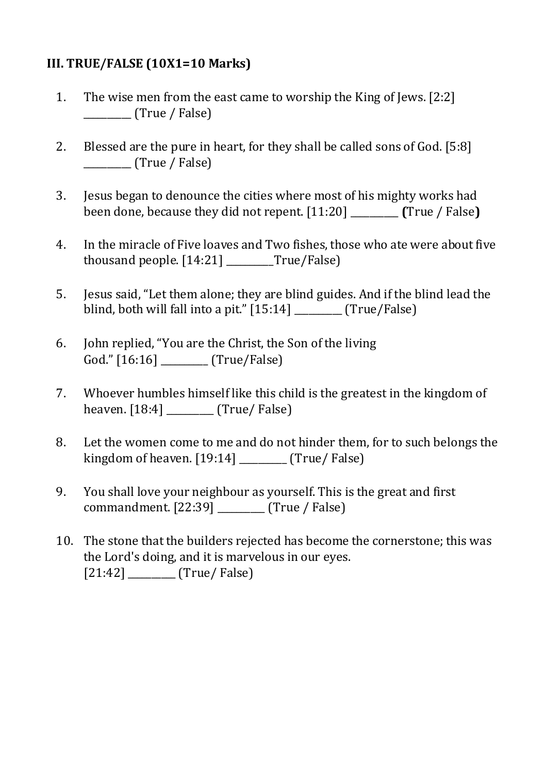#### **III. TRUE/FALSE (10X1=10 Marks)**

- 1. The wise men from the east came to worship the King of Jews. [2:2] \_\_\_\_\_\_\_\_\_\_ (True / False)
- 2. Blessed are the pure in heart, for they shall be called sons of God. [5:8] \_\_\_\_\_\_\_\_\_\_ (True / False)
- 3. Jesus began to denounce the cities where most of his mighty works had been done, because they did not repent. [11:20] \_\_\_\_\_\_\_\_\_\_ **(**True / False**)**
- 4. In the miracle of Five loaves and Two fishes, those who ate were about five thousand people. [14:21] \_\_\_\_\_\_\_\_\_\_True/False)
- 5. Jesus said, "Let them alone; they are blind guides. And if the blind lead the blind, both will fall into a pit." [15:14] \_\_\_\_\_\_\_\_\_\_ (True/False)
- 6. John replied, "You are the Christ, the Son of the living God." [16:16] [True/False]
- 7. Whoever humbles himself like this child is the greatest in the kingdom of heaven. [18:4] \_\_\_\_\_\_\_\_\_\_ (True/ False)
- 8. Let the women come to me and do not hinder them, for to such belongs the kingdom of heaven. [19:14] \_\_\_\_\_\_\_\_\_\_ (True/ False)
- 9. You shall love your neighbour as yourself. This is the great and first commandment. [22:39] \_\_\_\_\_\_\_\_\_\_ (True / False)
- 10. The stone that the builders rejected has become the cornerstone; this was the Lord's doing, and it is marvelous in our eyes. [21:42] \_\_\_\_\_\_\_\_\_\_ (True/ False)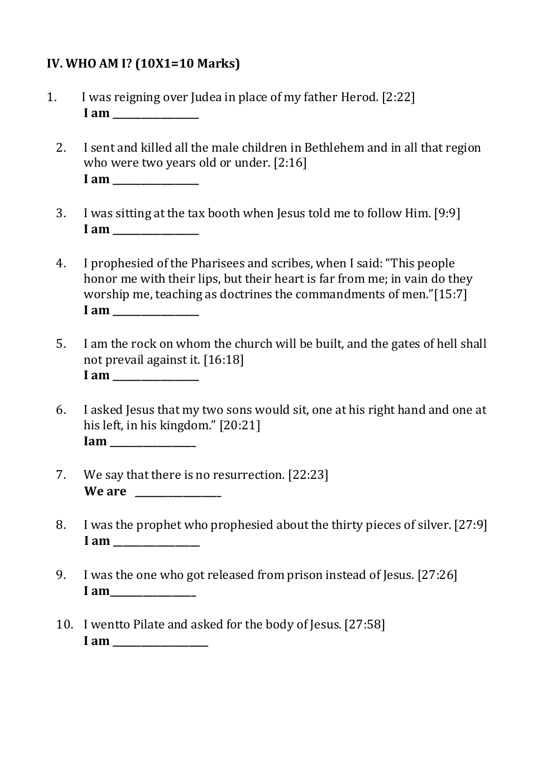#### **IV. WHO AM I? (10X1=10 Marks)**

- 1. I was reigning over Judea in place of my father Herod. [2:22] **I am \_\_\_\_\_\_\_\_\_\_\_\_\_\_\_\_\_\_** 
	- 2. I sent and killed all the male children in Bethlehem and in all that region who were two years old or under. [2:16] **I** am
	- 3. I was sitting at the tax booth when Jesus told me to follow Him. [9:9] **I** am \_\_\_\_\_\_\_\_\_
	- 4. I prophesied of the Pharisees and scribes, when I said: "This people honor me with their lips, but their heart is far from me; in vain do they worship me, teaching as doctrines the commandments of men."[15:7] **I** am \_\_\_\_\_\_\_\_\_\_
	- 5. I am the rock on whom the church will be built, and the gates of hell shall not prevail against it. [16:18] **I am \_\_\_\_\_\_\_\_\_\_\_\_\_\_\_\_\_\_**
	- 6. I asked Jesus that my two sons would sit, one at his right hand and one at his left, in his kingdom." [20:21] **Iam \_\_\_\_\_\_\_\_\_\_\_\_\_\_\_\_\_\_**
	- 7. We say that there is no resurrection. [22:23] We are
	- 8. I was the prophet who prophesied about the thirty pieces of silver. [27:9] **I** am
	- 9. I was the one who got released from prison instead of Jesus. [27:26] **I am\_\_\_\_\_\_\_\_\_\_\_\_\_\_\_\_\_\_**
	- 10. I wentto Pilate and asked for the body of Jesus. [27:58] **I am \_\_\_\_\_\_\_\_\_\_\_\_\_\_\_\_\_\_\_\_**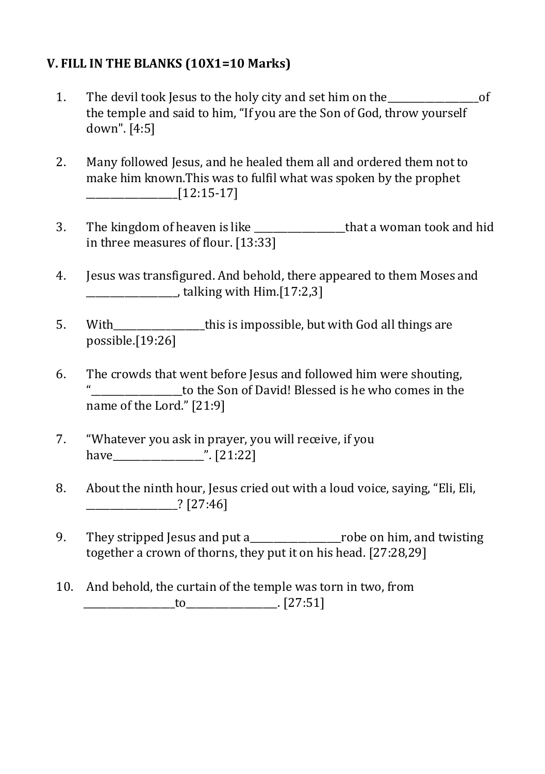#### **V. FILL IN THE BLANKS (10X1=10 Marks)**

- 1. The devil took Jesus to the holy city and set him on the  $\overline{C}$ the temple and said to him, "If you are the Son of God, throw yourself down". [4:5]
- 2. Many followed Jesus, and he healed them all and ordered them not to make him known.This was to fulfil what was spoken by the prophet  $\frac{1}{2}$  [12:15-17]
- 3. The kingdom of heaven is like that a woman took and hid in three measures of flour. [13:33]
- 4. Jesus was transfigured. And behold, there appeared to them Moses and \_\_\_\_\_\_\_\_\_\_\_\_\_\_\_\_\_\_\_, talking with Him.[17:2,3]
- 5. With\_\_\_\_\_\_\_\_\_\_\_\_\_\_\_\_\_\_\_this is impossible, but with God all things are possible.[19:26]
- 6. The crowds that went before Jesus and followed him were shouting, to the Son of David! Blessed is he who comes in the name of the Lord." [21:9]
- 7. "Whatever you ask in prayer, you will receive, if you have  $\frac{1}{21:22}$
- 8. About the ninth hour, Jesus cried out with a loud voice, saying, "Eli, Eli, \_\_\_\_\_\_\_\_\_\_\_\_\_\_\_\_\_\_\_? [27:46]
- 9. They stripped Jesus and put a\_\_\_\_\_\_\_\_\_\_\_\_\_\_\_\_\_\_\_robe on him, and twisting together a crown of thorns, they put it on his head. [27:28,29]
- 10. And behold, the curtain of the temple was torn in two, from  $to$   $[27:51]$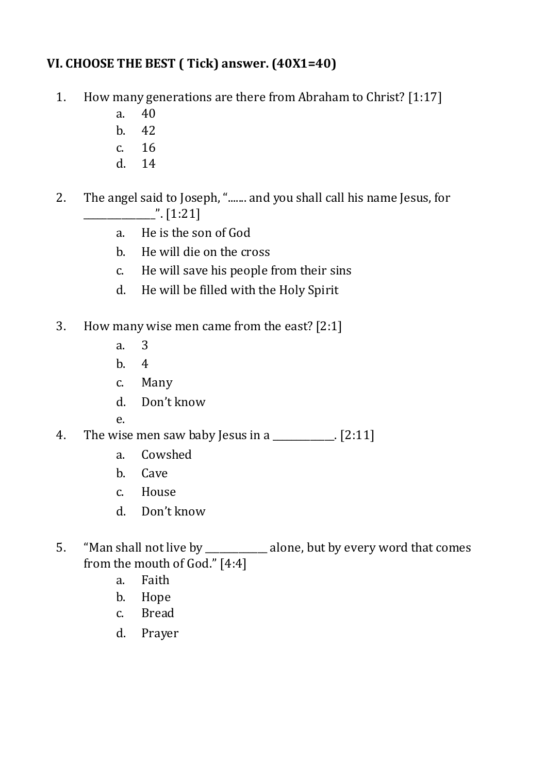## **VI. CHOOSE THE BEST ( Tick) answer. (40X1=40)**

- 1. How many generations are there from Abraham to Christ? [1:17]
	- a. 40
	- b. 42
	- c. 16
	- d. 14
- 2. The angel said to Joseph, "....... and you shall call his name Jesus, for  $\frac{1}{2}$ . [1:21]
	- a. He is the son of God
	- b. He will die on the cross
	- c. He will save his people from their sins
	- d. He will be filled with the Holy Spirit
- 3. How many wise men came from the east? [2:1]
	- a. 3
	- b. 4
	- c. Many
	- d. Don't know
	- e.
- 4. The wise men saw baby Jesus in a  $\frac{1}{2}$ . [2:11]
	- a. Cowshed
	- b. Cave
	- c. House
	- d. Don't know
- 5. "Man shall not live by \_\_\_\_\_\_\_\_\_\_\_\_\_ alone, but by every word that comes from the mouth of God." [4:4]
	- a. Faith
	- b. Hope
	- c. Bread
	- d. Prayer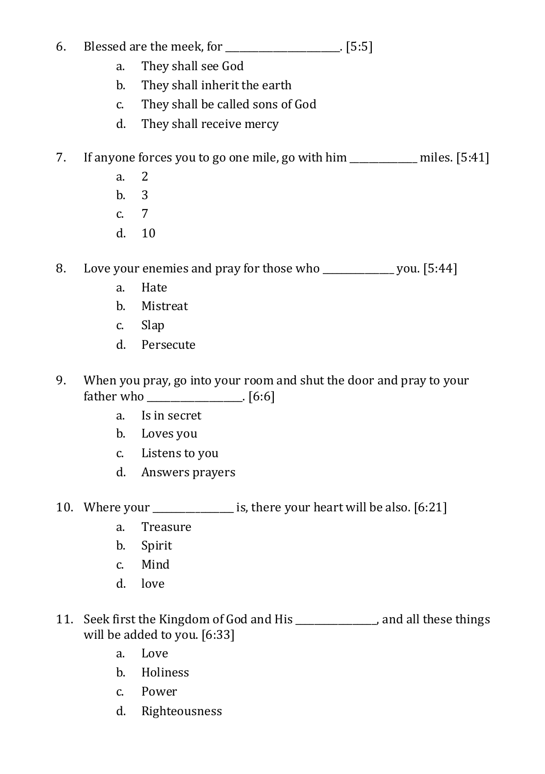## 6. Blessed are the meek, for \_\_\_\_\_\_\_\_\_\_\_\_\_\_\_\_\_\_\_\_\_\_\_\_. [5:5]

- a. They shall see God
- b. They shall inherit the earth
- c. They shall be called sons of God
- d. They shall receive mercy

## 7. If anyone forces you to go one mile, go with him \_\_\_\_\_\_\_\_\_\_\_\_\_\_ miles. [5:41]

- a. 2
- b. 3
- c. 7
- d. 10

8. Love your enemies and pray for those who \_\_\_\_\_\_\_\_\_\_\_\_\_\_\_ you. [5:44]

- a. Hate
- b. Mistreat
- c. Slap
- d. Persecute
- 9. When you pray, go into your room and shut the door and pray to your father who \_\_\_\_\_\_\_\_\_\_\_\_\_\_\_\_\_\_\_\_. [6:6]
	- a. Is in secret
	- b. Loves you
	- c. Listens to you
	- d. Answers prayers
- 10. Where your is, there your heart will be also. [6:21]
	- a. Treasure
	- b. Spirit
	- c. Mind
	- d. love
- 11. Seek first the Kingdom of God and His \_\_\_\_\_\_\_\_\_\_\_\_\_\_\_\_\_, and all these things will be added to you. [6:33]
	- a. Love
	- b. Holiness
	- c. Power
	- d. Righteousness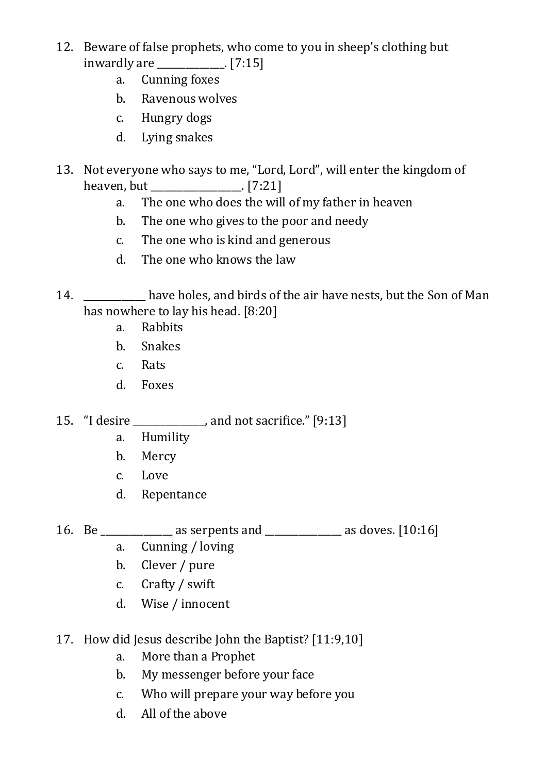- 12. Beware of false prophets, who come to you in sheep's clothing but inwardly are \_\_\_\_\_\_\_\_\_\_\_\_\_\_. [7:15]
	- a. Cunning foxes
	- b. Ravenous wolves
	- c. Hungry dogs
	- d. Lying snakes
- 13. Not everyone who says to me, "Lord, Lord", will enter the kingdom of heaven, but [7:21]
	- a. The one who does the will of my father in heaven
	- b. The one who gives to the poor and needy
	- c. The one who is kind and generous
	- d. The one who knows the law
- 14. have holes, and birds of the air have nests, but the Son of Man has nowhere to lay his head. [8:20]
	- a. Rabbits
	- b. Snakes
	- c. Rats
	- d. Foxes
- 15. "I desire \_\_\_\_\_\_\_\_\_\_\_\_\_\_\_, and not sacrifice." [9:13]
	- a. Humility
	- b. Mercy
	- c. Love
	- d. Repentance
- 16. Be \_\_\_\_\_\_\_\_\_\_\_\_\_\_\_ as serpents and \_\_\_\_\_\_\_\_\_\_\_\_\_\_\_\_ as doves. [10:16]
	-
	- a. Cunning / loving
	- b. Clever / pure
	- c. Crafty / swift
	- d. Wise / innocent
- 17. How did Jesus describe John the Baptist? [11:9,10]
	- a. More than a Prophet
	- b. My messenger before your face
	- c. Who will prepare your way before you
	- d. All of the above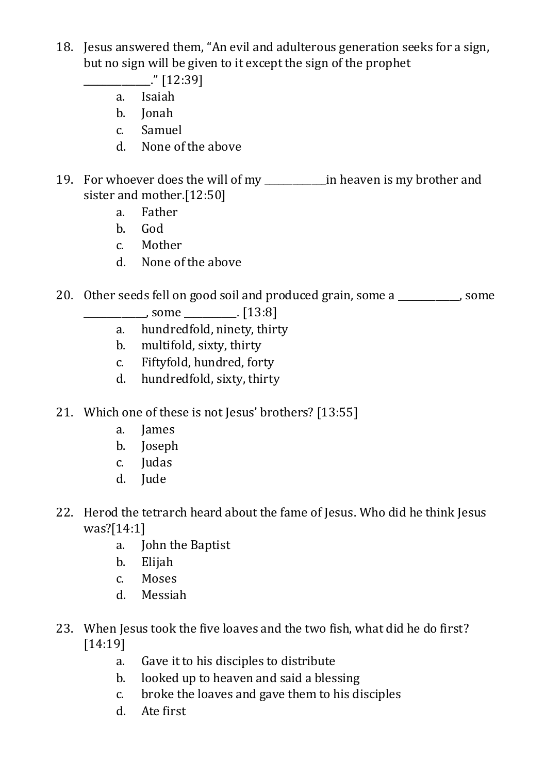- 18. Jesus answered them, "An evil and adulterous generation seeks for a sign, but no sign will be given to it except the sign of the prophet
	- $\frac{1}{2}$  [12:39]
	- a. Isaiah
	- b. Jonah
	- c. Samuel
	- d. None of the above
- 19. For whoever does the will of my \_\_\_\_\_\_\_\_\_\_\_\_\_in heaven is my brother and sister and mother.[12:50]
	- a. Father
	- b. God
	- c. Mother
	- d. None of the above
- 20. Other seeds fell on good soil and produced grain, some a some a
	- $\frac{1}{2}$  some  $\frac{1}{2}$ . [13:8]
	- a. hundredfold, ninety, thirty
	- b. multifold, sixty, thirty
	- c. Fiftyfold, hundred, forty
	- d. hundredfold, sixty, thirty
- 21. Which one of these is not Jesus' brothers? [13:55]
	- a. James
	- b. Joseph
	- c. Judas
	- d. Jude
- 22. Herod the tetrarch heard about the fame of Jesus. Who did he think Jesus was?[14:1]
	- a. John the Baptist
	- b. Elijah
	- c. Moses
	- d. Messiah
- 23. When Jesus took the five loaves and the two fish, what did he do first? [14:19]
	- a. Gave it to his disciples to distribute
	- b. looked up to heaven and said a blessing
	- c. broke the loaves and gave them to his disciples
	- d. Ate first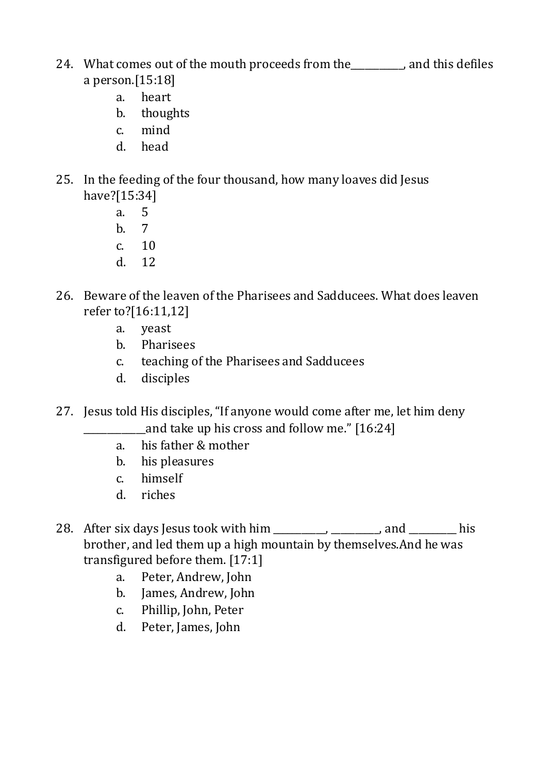- 24. What comes out of the mouth proceeds from the each condition of the mouth proceeds from the candidation and this defiles a person.[15:18]
	- a. heart
	- b. thoughts
	- c. mind
	- d. head
- 25. In the feeding of the four thousand, how many loaves did Jesus have?[15:34]
	- a. 5
	- b. 7
	- c. 10
	- d. 12
- 26. Beware of the leaven of the Pharisees and Sadducees. What does leaven refer to?[16:11,12]
	- a. yeast
	- b. Pharisees
	- c. teaching of the Pharisees and Sadducees
	- d. disciples
- 27. Jesus told His disciples, "If anyone would come after me, let him deny and take up his cross and follow me." [16:24]
	- a. his father & mother
	- b. his pleasures
	- c. himself
	- d. riches
- 28. After six days Jesus took with him \_\_\_\_\_\_\_\_, \_\_\_\_\_\_\_, and \_\_\_\_\_\_\_\_ his brother, and led them up a high mountain by themselves.And he was transfigured before them. [17:1]
	- a. Peter, Andrew, John
	- b. James, Andrew, John
	- c. Phillip, John, Peter
	- d. Peter, James, John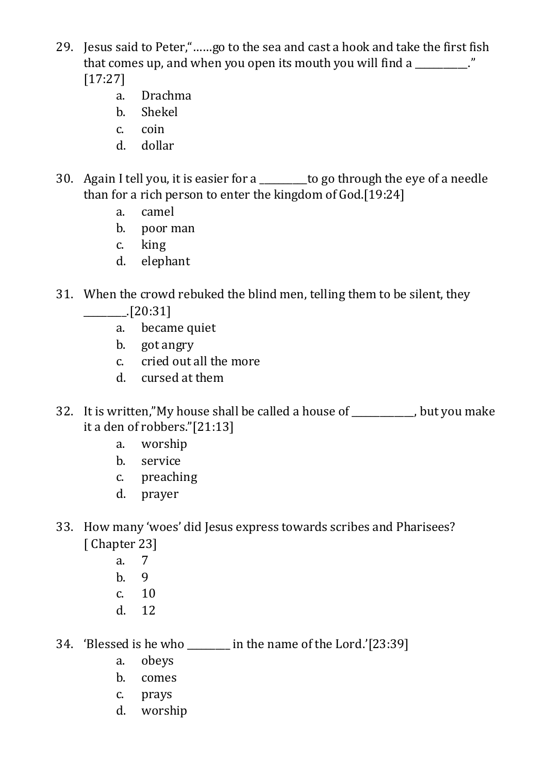- 29. Jesus said to Peter,"……go to the sea and cast a hook and take the first fish that comes up, and when you open its mouth you will find a  $\blacksquare$ [17:27]
	- a. Drachma
	- b. Shekel
	- c. coin
	- d. dollar
- 30. Again I tell you, it is easier for a \_\_\_\_\_\_\_\_\_\_to go through the eye of a needle than for a rich person to enter the kingdom of God.[19:24]
	- a. camel
	- b. poor man
	- c. king
	- d. elephant
- 31. When the crowd rebuked the blind men, telling them to be silent, they  $\frac{[20:31]}{[20:31]}$ 
	- a. became quiet
	- b. got angry
	- c. cried out all the more
	- d. cursed at them
- 32. It is written,"My house shall be called a house of \_\_\_\_\_\_\_\_\_\_, but you make it a den of robbers."[21:13]
	- a. worship
	- b. service
	- c. preaching
	- d. prayer
- 33. How many 'woes' did Jesus express towards scribes and Pharisees? [ Chapter 23]
	- a. 7
	- b. 9
	- $c = 10$
	- d. 12
- 34. 'Blessed is he who \_\_\_\_\_\_\_\_\_ in the name of the Lord.'[23:39]
	- a. obeys
	- b. comes
	- c. prays
	- d. worship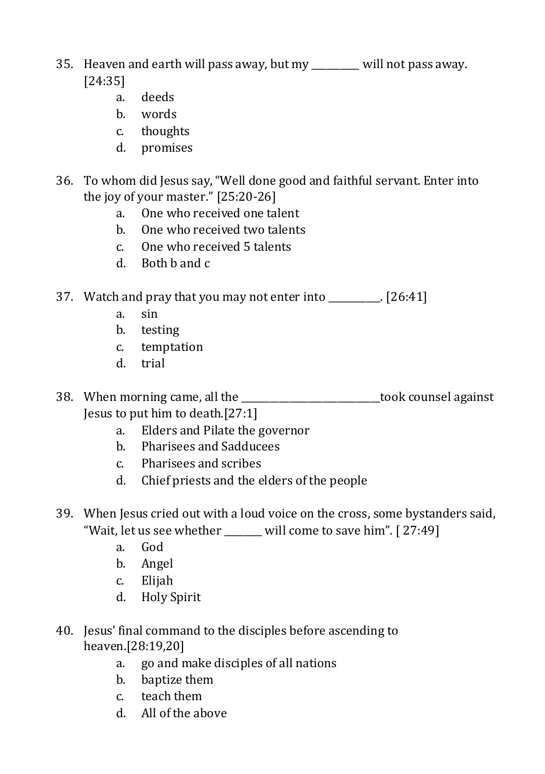- 35. Heaven and earth will pass away, but my \_\_\_\_\_\_\_\_\_\_ will not pass away. [24:35]
	- a. deeds
	- b. words
	- c. thoughts
	- d. promises
- 36. To whom did Jesus say, "Well done good and faithful servant. Enter into the joy of your master." [25:20-26]
	- a. One who received one talent
	- b. One who received two talents
	- c. One who received 5 talents
	- d. Both b and c

37. Watch and pray that you may not enter into \_\_\_\_\_\_\_\_\_\_\_. [26:41]

- a. sin
- b. testing
- c. temptation
- d. trial
- 38. When morning came, all the \_\_\_\_\_\_\_\_\_\_\_\_\_\_\_\_\_\_\_\_\_\_\_\_\_\_\_\_\_took counsel against Jesus to put him to death.[27:1]
	- a. Elders and Pilate the governor
	- b. Pharisees and Sadducees
	- c. Pharisees and scribes
	- d. Chief priests and the elders of the people
- 39. When Jesus cried out with a loud voice on the cross, some bystanders said, "Wait, let us see whether \_\_\_\_\_\_ will come to save him". [27:49]
	- a. God
	- b. Angel
	- c. Elijah
	- d. Holy Spirit
- 40. Jesus' final command to the disciples before ascending to heaven.[28:19,20]
	- a. go and make disciples of all nations
	- b. baptize them
	- c. teach them
	- d. All of the above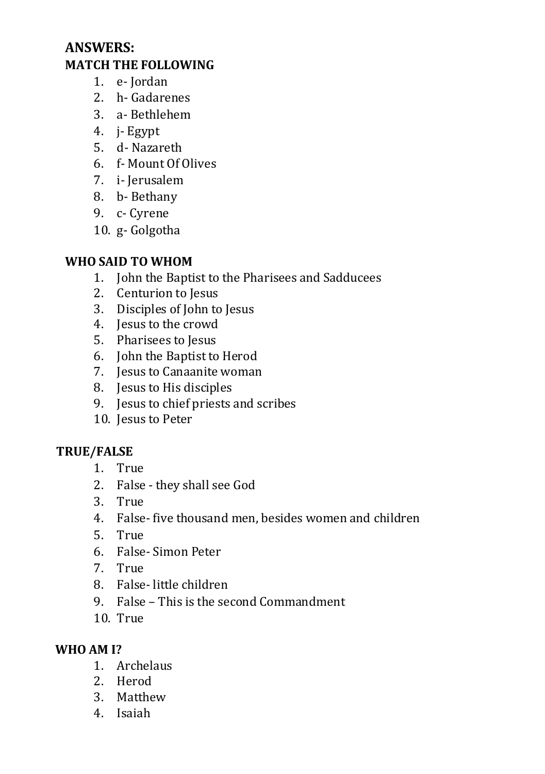## **ANSWERS: MATCH THE FOLLOWING**

- 1. e- Jordan
- 2. h- Gadarenes
- 3. a- Bethlehem
- 4. j- Egypt
- 5. d- Nazareth
- 6. f- Mount Of Olives
- 7. i- Jerusalem
- 8. b- Bethany
- 9. c- Cyrene
- 10. g- Golgotha

#### **WHO SAID TO WHOM**

- 1. John the Baptist to the Pharisees and Sadducees
- 2. Centurion to Jesus
- 3. Disciples of John to Jesus
- 4. Jesus to the crowd
- 5. Pharisees to Jesus
- 6. John the Baptist to Herod
- 7. Jesus to Canaanite woman
- 8. Jesus to His disciples
- 9. Jesus to chief priests and scribes
- 10. Jesus to Peter

#### **TRUE/FALSE**

- 1. True
- 2. False they shall see God
- 3. True
- 4. False- five thousand men, besides women and children
- 5. True
- 6. False- Simon Peter
- 7. True
- 8. False- little children
- 9. False This is the second Commandment
- 10. True

#### **WHO AM I?**

- 1. Archelaus
- 2. Herod
- 3. Matthew
- 4. Isaiah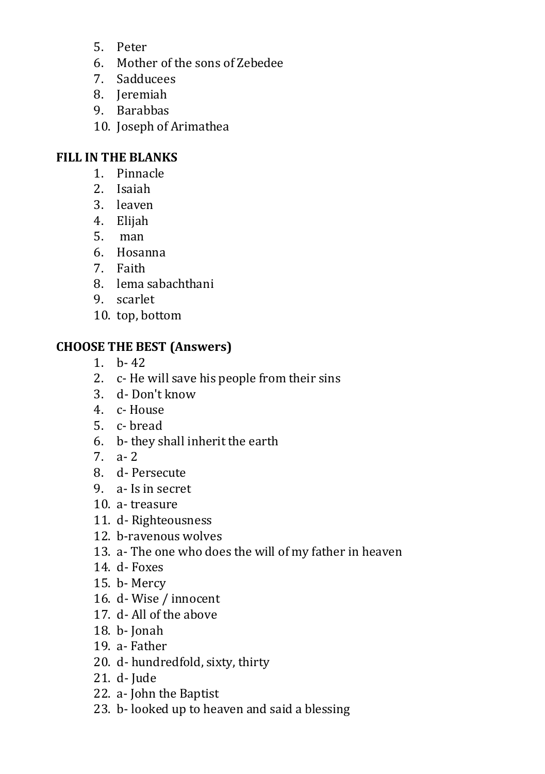- 5. Peter
- 6. Mother of the sons of Zebedee
- 7. Sadducees
- 8. Jeremiah
- 9. Barabbas
- 10. Joseph of Arimathea

## **FILL IN THE BLANKS**

- 1. Pinnacle
- 2. Isaiah
- 3. leaven
- 4. Elijah
- 5. man
- 6. Hosanna
- 7. Faith
- 8. lema sabachthani
- 9. scarlet
- 10. top, bottom

### **CHOOSE THE BEST (Answers)**

- 1. b- 42
- 2. c- He will save his people from their sins
- 3. d- Don't know
- 4. c- House
- 5. c- bread
- 6. b- they shall inherit the earth
- $7 \quad a 2$
- 8. d- Persecute
- 9. a- Is in secret
- 10. a- treasure
- 11. d- Righteousness
- 12. b-ravenous wolves
- 13. a- The one who does the will of my father in heaven
- 14. d- Foxes
- 15. b- Mercy
- 16. d- Wise / innocent
- 17. d- All of the above
- 18. b- Jonah
- 19. a- Father
- 20. d- hundredfold, sixty, thirty
- 21. d- Jude
- 22. a- John the Baptist
- 23. b- looked up to heaven and said a blessing